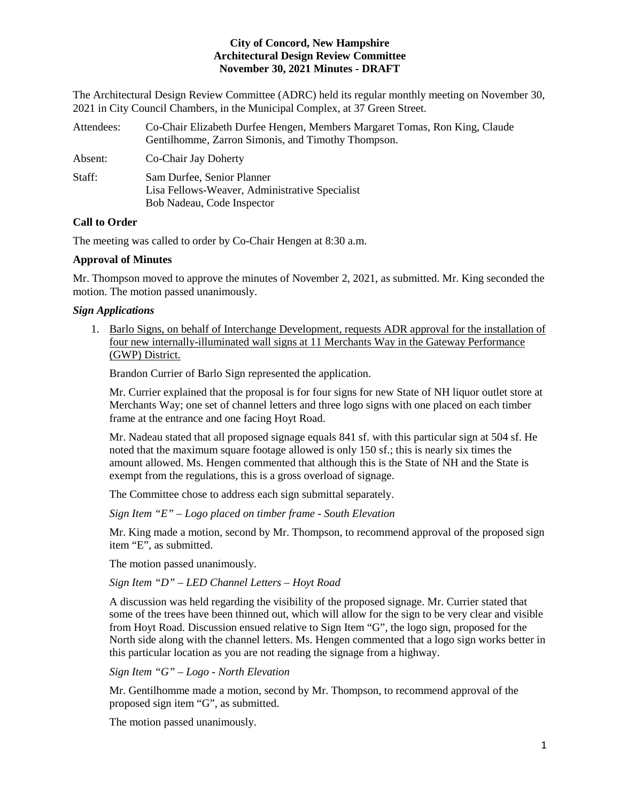The Architectural Design Review Committee (ADRC) held its regular monthly meeting on November 30, 2021 in City Council Chambers, in the Municipal Complex, at 37 Green Street.

| Attendees: | Co-Chair Elizabeth Durfee Hengen, Members Margaret Tomas, Ron King, Claude<br>Gentilhomme, Zarron Simonis, and Timothy Thompson. |
|------------|----------------------------------------------------------------------------------------------------------------------------------|
| Absent:    | Co-Chair Jay Doherty                                                                                                             |
| Staff:     | Sam Durfee, Senior Planner<br>Lisa Fellows-Weaver, Administrative Specialist<br>Bob Nadeau, Code Inspector                       |

## **Call to Order**

The meeting was called to order by Co-Chair Hengen at 8:30 a.m.

# **Approval of Minutes**

Mr. Thompson moved to approve the minutes of November 2, 2021, as submitted. Mr. King seconded the motion. The motion passed unanimously.

# *Sign Applications*

1. Barlo Signs, on behalf of Interchange Development, requests ADR approval for the installation of four new internally-illuminated wall signs at 11 Merchants Way in the Gateway Performance (GWP) District.

Brandon Currier of Barlo Sign represented the application.

Mr. Currier explained that the proposal is for four signs for new State of NH liquor outlet store at Merchants Way; one set of channel letters and three logo signs with one placed on each timber frame at the entrance and one facing Hoyt Road.

Mr. Nadeau stated that all proposed signage equals 841 sf. with this particular sign at 504 sf. He noted that the maximum square footage allowed is only 150 sf.; this is nearly six times the amount allowed. Ms. Hengen commented that although this is the State of NH and the State is exempt from the regulations, this is a gross overload of signage.

The Committee chose to address each sign submittal separately.

*Sign Item "E" – Logo placed on timber frame - South Elevation*

Mr. King made a motion, second by Mr. Thompson, to recommend approval of the proposed sign item "E", as submitted.

The motion passed unanimously.

*Sign Item "D" – LED Channel Letters – Hoyt Road* 

A discussion was held regarding the visibility of the proposed signage. Mr. Currier stated that some of the trees have been thinned out, which will allow for the sign to be very clear and visible from Hoyt Road. Discussion ensued relative to Sign Item "G", the logo sign, proposed for the North side along with the channel letters. Ms. Hengen commented that a logo sign works better in this particular location as you are not reading the signage from a highway.

*Sign Item "G" – Logo - North Elevation*

Mr. Gentilhomme made a motion, second by Mr. Thompson, to recommend approval of the proposed sign item "G", as submitted.

The motion passed unanimously.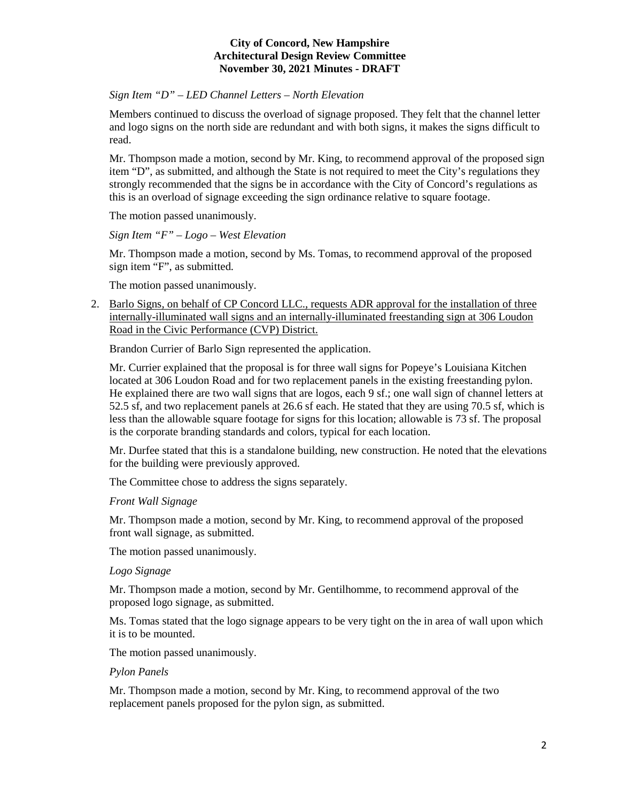# *Sign Item "D" – LED Channel Letters – North Elevation*

Members continued to discuss the overload of signage proposed. They felt that the channel letter and logo signs on the north side are redundant and with both signs, it makes the signs difficult to read.

Mr. Thompson made a motion, second by Mr. King, to recommend approval of the proposed sign item "D", as submitted, and although the State is not required to meet the City's regulations they strongly recommended that the signs be in accordance with the City of Concord's regulations as this is an overload of signage exceeding the sign ordinance relative to square footage.

The motion passed unanimously.

*Sign Item "F" – Logo – West Elevation*

Mr. Thompson made a motion, second by Ms. Tomas, to recommend approval of the proposed sign item "F", as submitted.

The motion passed unanimously.

2. [Barlo Signs,](https://www.concordnh.gov/DocumentCenter/View/18145/306-310-Loudon-Rd---Popeyes----4-signs-for-ADR) on behalf of CP Concord LLC., requests ADR approval for the installation of three internally-illuminated wall signs and an internally-illuminated freestanding sign at 306 Loudon Road in the Civic Performance (CVP) District.

Brandon Currier of Barlo Sign represented the application.

Mr. Currier explained that the proposal is for three wall signs for Popeye's Louisiana Kitchen located at 306 Loudon Road and for two replacement panels in the existing freestanding pylon. He explained there are two wall signs that are logos, each 9 sf.; one wall sign of channel letters at 52.5 sf, and two replacement panels at 26.6 sf each. He stated that they are using 70.5 sf, which is less than the allowable square footage for signs for this location; allowable is 73 sf. The proposal is the corporate branding standards and colors, typical for each location.

Mr. Durfee stated that this is a standalone building, new construction. He noted that the elevations for the building were previously approved.

The Committee chose to address the signs separately.

*Front Wall Signage*

Mr. Thompson made a motion, second by Mr. King, to recommend approval of the proposed front wall signage, as submitted.

The motion passed unanimously.

*Logo Signage*

Mr. Thompson made a motion, second by Mr. Gentilhomme, to recommend approval of the proposed logo signage, as submitted.

Ms. Tomas stated that the logo signage appears to be very tight on the in area of wall upon which it is to be mounted.

The motion passed unanimously.

#### *Pylon Panels*

Mr. Thompson made a motion, second by Mr. King, to recommend approval of the two replacement panels proposed for the pylon sign, as submitted.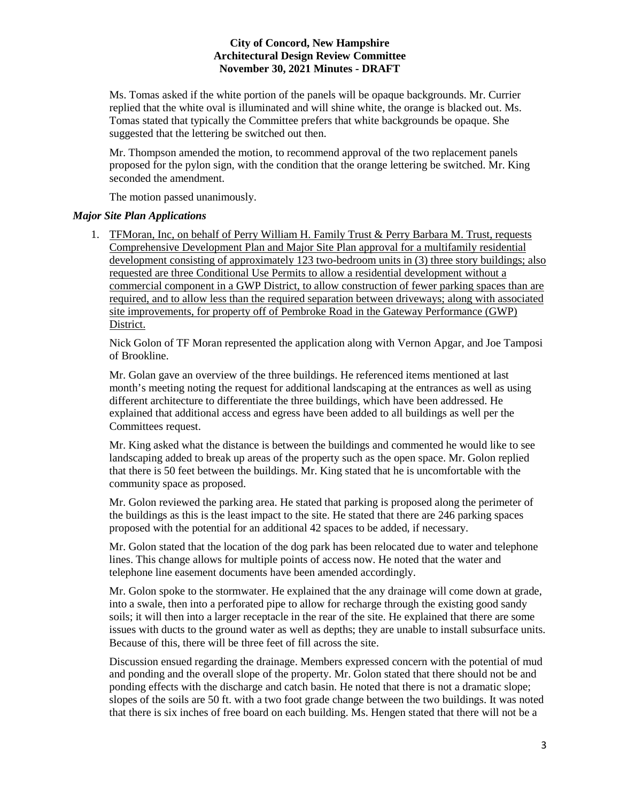Ms. Tomas asked if the white portion of the panels will be opaque backgrounds. Mr. Currier replied that the white oval is illuminated and will shine white, the orange is blacked out. Ms. Tomas stated that typically the Committee prefers that white backgrounds be opaque. She suggested that the lettering be switched out then.

Mr. Thompson amended the motion, to recommend approval of the two replacement panels proposed for the pylon sign, with the condition that the orange lettering be switched. Mr. King seconded the amendment.

The motion passed unanimously.

#### *Major Site Plan Applications*

1. TFMoran, Inc, on behalf of Perry William H. Family Trust & Perry Barbara M. Trust, requests Comprehensive Development Plan and Major Site Plan approval for a multifamily residential development consisting of approximately 123 two-bedroom units in (3) three story buildings; also requested are three Conditional Use Permits to allow a residential development without a commercial component in a GWP District, to allow construction of fewer parking spaces than are required, and to allow less than the required separation between driveways; along with associated site improvements, for property off of Pembroke Road in the Gateway Performance (GWP) District.

Nick Golon of TF Moran represented the application along with Vernon Apgar, and Joe Tamposi of Brookline.

Mr. Golan gave an overview of the three buildings. He referenced items mentioned at last month's meeting noting the request for additional landscaping at the entrances as well as using different architecture to differentiate the three buildings, which have been addressed. He explained that additional access and egress have been added to all buildings as well per the Committees request.

Mr. King asked what the distance is between the buildings and commented he would like to see landscaping added to break up areas of the property such as the open space. Mr. Golon replied that there is 50 feet between the buildings. Mr. King stated that he is uncomfortable with the community space as proposed.

Mr. Golon reviewed the parking area. He stated that parking is proposed along the perimeter of the buildings as this is the least impact to the site. He stated that there are 246 parking spaces proposed with the potential for an additional 42 spaces to be added, if necessary.

Mr. Golon stated that the location of the dog park has been relocated due to water and telephone lines. This change allows for multiple points of access now. He noted that the water and telephone line easement documents have been amended accordingly.

Mr. Golon spoke to the stormwater. He explained that the any drainage will come down at grade, into a swale, then into a perforated pipe to allow for recharge through the existing good sandy soils; it will then into a larger receptacle in the rear of the site. He explained that there are some issues with ducts to the ground water as well as depths; they are unable to install subsurface units. Because of this, there will be three feet of fill across the site.

Discussion ensued regarding the drainage. Members expressed concern with the potential of mud and ponding and the overall slope of the property. Mr. Golon stated that there should not be and ponding effects with the discharge and catch basin. He noted that there is not a dramatic slope; slopes of the soils are 50 ft. with a two foot grade change between the two buildings. It was noted that there is six inches of free board on each building. Ms. Hengen stated that there will not be a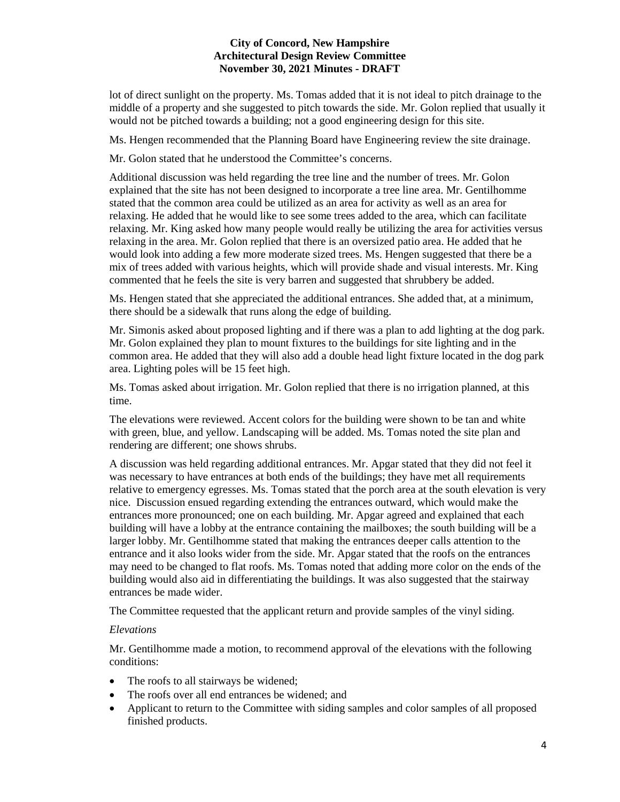lot of direct sunlight on the property. Ms. Tomas added that it is not ideal to pitch drainage to the middle of a property and she suggested to pitch towards the side. Mr. Golon replied that usually it would not be pitched towards a building; not a good engineering design for this site.

Ms. Hengen recommended that the Planning Board have Engineering review the site drainage.

Mr. Golon stated that he understood the Committee's concerns.

Additional discussion was held regarding the tree line and the number of trees. Mr. Golon explained that the site has not been designed to incorporate a tree line area. Mr. Gentilhomme stated that the common area could be utilized as an area for activity as well as an area for relaxing. He added that he would like to see some trees added to the area, which can facilitate relaxing. Mr. King asked how many people would really be utilizing the area for activities versus relaxing in the area. Mr. Golon replied that there is an oversized patio area. He added that he would look into adding a few more moderate sized trees. Ms. Hengen suggested that there be a mix of trees added with various heights, which will provide shade and visual interests. Mr. King commented that he feels the site is very barren and suggested that shrubbery be added.

Ms. Hengen stated that she appreciated the additional entrances. She added that, at a minimum, there should be a sidewalk that runs along the edge of building.

Mr. Simonis asked about proposed lighting and if there was a plan to add lighting at the dog park. Mr. Golon explained they plan to mount fixtures to the buildings for site lighting and in the common area. He added that they will also add a double head light fixture located in the dog park area. Lighting poles will be 15 feet high.

Ms. Tomas asked about irrigation. Mr. Golon replied that there is no irrigation planned, at this time.

The elevations were reviewed. Accent colors for the building were shown to be tan and white with green, blue, and yellow. Landscaping will be added. Ms. Tomas noted the site plan and rendering are different; one shows shrubs.

A discussion was held regarding additional entrances. Mr. Apgar stated that they did not feel it was necessary to have entrances at both ends of the buildings; they have met all requirements relative to emergency egresses. Ms. Tomas stated that the porch area at the south elevation is very nice. Discussion ensued regarding extending the entrances outward, which would make the entrances more pronounced; one on each building. Mr. Apgar agreed and explained that each building will have a lobby at the entrance containing the mailboxes; the south building will be a larger lobby. Mr. Gentilhomme stated that making the entrances deeper calls attention to the entrance and it also looks wider from the side. Mr. Apgar stated that the roofs on the entrances may need to be changed to flat roofs. Ms. Tomas noted that adding more color on the ends of the building would also aid in differentiating the buildings. It was also suggested that the stairway entrances be made wider.

The Committee requested that the applicant return and provide samples of the vinyl siding.

#### *Elevations*

Mr. Gentilhomme made a motion, to recommend approval of the elevations with the following conditions:

- The roofs to all stairways be widened;
- The roofs over all end entrances be widened; and
- Applicant to return to the Committee with siding samples and color samples of all proposed finished products.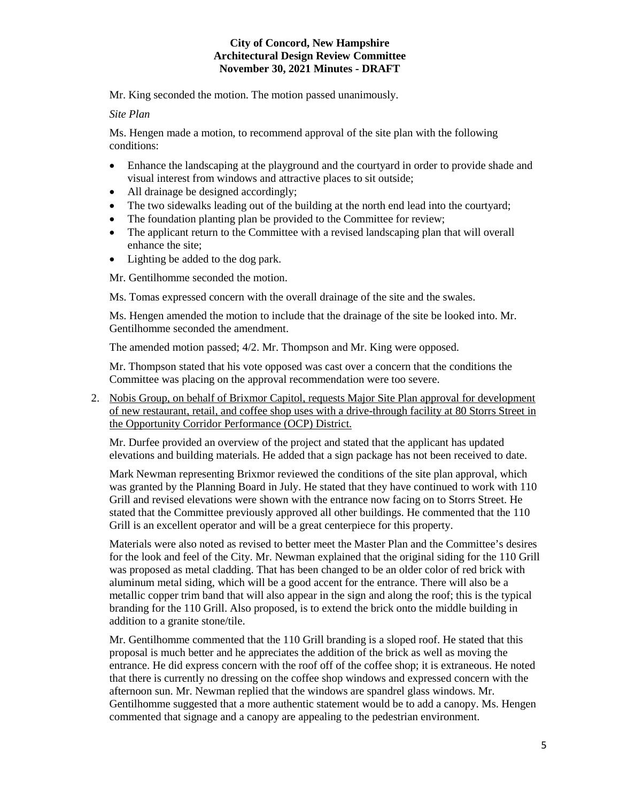Mr. King seconded the motion. The motion passed unanimously.

## *Site Plan*

Ms. Hengen made a motion, to recommend approval of the site plan with the following conditions:

- Enhance the landscaping at the playground and the courtyard in order to provide shade and visual interest from windows and attractive places to sit outside;
- All drainage be designed accordingly;
- The two sidewalks leading out of the building at the north end lead into the courtyard;
- The foundation planting plan be provided to the Committee for review;
- The applicant return to the Committee with a revised landscaping plan that will overall enhance the site;
- Lighting be added to the dog park.

Mr. Gentilhomme seconded the motion.

Ms. Tomas expressed concern with the overall drainage of the site and the swales.

Ms. Hengen amended the motion to include that the drainage of the site be looked into. Mr. Gentilhomme seconded the amendment.

The amended motion passed; 4/2. Mr. Thompson and Mr. King were opposed.

Mr. Thompson stated that his vote opposed was cast over a concern that the conditions the Committee was placing on the approval recommendation were too severe.

2. [Nobis Group,](https://www.concordnh.gov/DocumentCenter/View/18146/Brixmor) on behalf of Brixmor Capitol, requests Major Site Plan approval for development of new restaurant, retail, and coffee shop uses with a drive-through facility at 80 Storrs Street in the Opportunity Corridor Performance (OCP) District.

Mr. Durfee provided an overview of the project and stated that the applicant has updated elevations and building materials. He added that a sign package has not been received to date.

Mark Newman representing Brixmor reviewed the conditions of the site plan approval, which was granted by the Planning Board in July. He stated that they have continued to work with 110 Grill and revised elevations were shown with the entrance now facing on to Storrs Street. He stated that the Committee previously approved all other buildings. He commented that the 110 Grill is an excellent operator and will be a great centerpiece for this property.

Materials were also noted as revised to better meet the Master Plan and the Committee's desires for the look and feel of the City. Mr. Newman explained that the original siding for the 110 Grill was proposed as metal cladding. That has been changed to be an older color of red brick with aluminum metal siding, which will be a good accent for the entrance. There will also be a metallic copper trim band that will also appear in the sign and along the roof; this is the typical branding for the 110 Grill. Also proposed, is to extend the brick onto the middle building in addition to a granite stone/tile.

Mr. Gentilhomme commented that the 110 Grill branding is a sloped roof. He stated that this proposal is much better and he appreciates the addition of the brick as well as moving the entrance. He did express concern with the roof off of the coffee shop; it is extraneous. He noted that there is currently no dressing on the coffee shop windows and expressed concern with the afternoon sun. Mr. Newman replied that the windows are spandrel glass windows. Mr. Gentilhomme suggested that a more authentic statement would be to add a canopy. Ms. Hengen commented that signage and a canopy are appealing to the pedestrian environment.